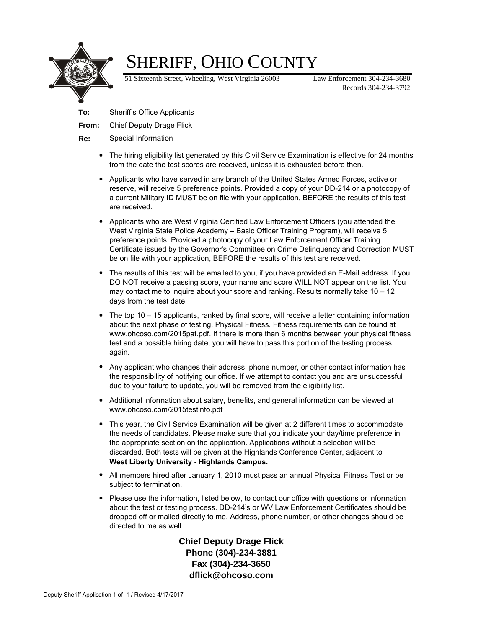

# SHERIFF, OHIO COUNTY

51 Sixteenth Street, Wheeling, West Virginia 26003 Law Enforcement 304-234-3680

Records 304-234-3792

- **To:** Sheriff's Office Applicants
- **From:** Chief Deputy Drage Flick
- **Re:** Special Information
	- The hiring eligibility list generated by this Civil Service Examination is effective for 24 months from the date the test scores are received, unless it is exhausted before then.
	- Applicants who have served in any branch of the United States Armed Forces, active or reserve, will receive 5 preference points. Provided a copy of your DD-214 or a photocopy of a current Military ID MUST be on file with your application, BEFORE the results of this test are received.
	- Applicants who are West Virginia Certified Law Enforcement Officers (you attended the West Virginia State Police Academy – Basic Officer Training Program), will receive 5 preference points. Provided a photocopy of your Law Enforcement Officer Training Certificate issued by the Governor's Committee on Crime Delinquency and Correction MUST be on file with your application, BEFORE the results of this test are received.
	- The results of this test will be emailed to you, if you have provided an E-Mail address. If you DO NOT receive a passing score, your name and score WILL NOT appear on the list. You may contact me to inquire about your score and ranking. Results normally take 10 – 12 days from the test date.
	- The top 10 15 applicants, ranked by final score, will receive a letter containing information about the next phase of testing, Physical Fitness. Fitness requirements can be found at www.ohcoso.com/2015pat.pdf. If there is more than 6 months between your physical fitness test and a possible hiring date, you will have to pass this portion of the testing process again.
	- Any applicant who changes their address, phone number, or other contact information has the responsibility of notifying our office. If we attempt to contact you and are unsuccessful due to your failure to update, you will be removed from the eligibility list.
	- Additional information about salary, benefits, and general information can be viewed at www.ohcoso.com/2015testinfo.pdf
	- This year, the Civil Service Examination will be given at 2 different times to accommodate the needs of candidates. Please make sure that you indicate your day/time preference in the appropriate section on the application. Applications without a selection will be discarded. Both tests will be given at the Highlands Conference Center, adjacent to **West Liberty University - Highlands Campus.**
	- All members hired after January 1, 2010 must pass an annual Physical Fitness Test or be subject to termination.
	- Please use the information, listed below, to contact our office with questions or information about the test or testing process. DD-214's or WV Law Enforcement Certificates should be dropped off or mailed directly to me. Address, phone number, or other changes should be directed to me as well.

**Chief Deputy Drage Flick Phone (304)-234-3881 Fax (304)-234-3650 dflick@ohcoso.com**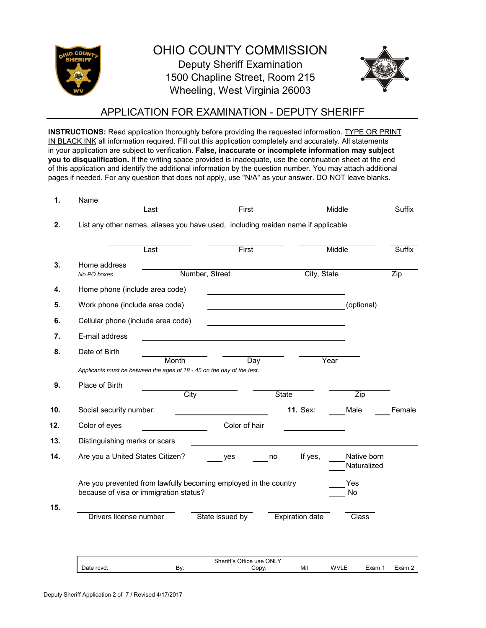

# OHIO COUNTY COMMISSION Deputy Sheriff Examination 1500 Chapline Street, Room 215

Wheeling, West Virginia 26003



## APPLICATION FOR EXAMINATION - DEPUTY SHERIFF

pages if needed. For any question that does not apply, use "N/A" as your answer. DO NOT leave blanks. **INSTRUCTIONS:** Read application thoroughly before providing the requested information. TYPE OR PRINT IN BLACK INK all information required. Fill out this application completely and accurately. All statements in your application are subject to verification. **False, inaccurate or incomplete information may subject** of this application and identify the additional information by the question number. You may attach additional **you to disqualification.** If the writing space provided is inadequate, use the continuation sheet at the end

| 1.  | Name                                                                                                       |                                         |                        |                            |                  |
|-----|------------------------------------------------------------------------------------------------------------|-----------------------------------------|------------------------|----------------------------|------------------|
|     | Last                                                                                                       | First                                   |                        | Middle                     | <b>Suffix</b>    |
| 2.  | List any other names, aliases you have used, including maiden name if applicable                           |                                         |                        |                            |                  |
|     | Last                                                                                                       | First                                   |                        | Middle                     | <b>Suffix</b>    |
| 3.  | Home address<br>No PO boxes                                                                                | Number, Street                          | City, State            |                            | $\overline{Zip}$ |
| 4.  | Home phone (include area code)                                                                             |                                         |                        |                            |                  |
| 5.  | Work phone (include area code)                                                                             | <u> 1980 - Johann Barbara, martin a</u> |                        | (optional)                 |                  |
| 6.  | Cellular phone (include area code)                                                                         |                                         |                        |                            |                  |
| 7.  | E-mail address                                                                                             |                                         |                        |                            |                  |
| 8.  | Date of Birth<br>Month                                                                                     |                                         | Year                   |                            |                  |
|     | Applicants must be between the ages of 18 - 45 on the day of the test.                                     | Day                                     |                        |                            |                  |
| 9.  | Place of Birth                                                                                             |                                         |                        |                            |                  |
|     | City                                                                                                       |                                         | State                  | Zip                        |                  |
| 10. | Social security number:                                                                                    |                                         | <b>11. Sex:</b>        | Male                       | Female           |
| 12. | Color of eyes                                                                                              | Color of hair                           |                        |                            |                  |
| 13. | Distinguishing marks or scars                                                                              |                                         |                        |                            |                  |
| 14. | Are you a United States Citizen?                                                                           | yes                                     | If yes,<br>no          | Native born<br>Naturalized |                  |
|     | Are you prevented from lawfully becoming employed in the country<br>because of visa or immigration status? |                                         |                        | Yes<br>No                  |                  |
| 15. |                                                                                                            |                                         |                        |                            |                  |
|     | Drivers license number                                                                                     | State issued by                         | <b>Expiration date</b> | Class                      |                  |
|     |                                                                                                            |                                         |                        |                            |                  |
|     |                                                                                                            | Sheriff's Office use ONLY               |                        |                            |                  |
|     | Date rcvd:<br>By:                                                                                          | Copy:                                   | Mil                    | <b>WVLE</b><br>Exam 1      | Exam 2           |

By: Mil WVLE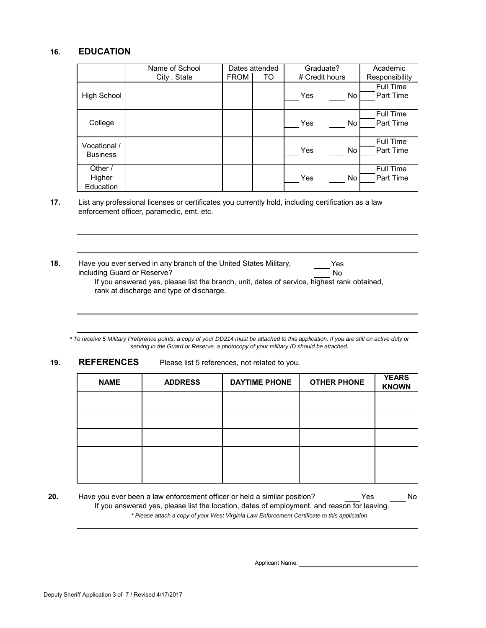#### **16. EDUCATION**

|                                 | Name of School |             | Dates attended | Graduate?      | Academic                      |
|---------------------------------|----------------|-------------|----------------|----------------|-------------------------------|
|                                 | City, State    | <b>FROM</b> | TO             | # Credit hours | Responsibility                |
| <b>High School</b>              |                |             |                | Yes<br>No      | <b>Full Time</b><br>Part Time |
| College                         |                |             |                | Yes<br>No.     | Full Time<br>Part Time        |
| Vocational /<br><b>Business</b> |                |             |                | Yes<br>No      | <b>Full Time</b><br>Part Time |
| Other /<br>Higher<br>Education  |                |             |                | Yes<br>No      | <b>Full Time</b><br>Part Time |

**17.** List any professional licenses or certificates you currently hold, including certification as a law enforcement officer, paramedic, emt, etc.

**18.** Have you ever served in any branch of the United States Military, \_\_\_\_\_\_\_Yes including Guard or Reserve?

No

If you answered yes, please list the branch, unit, dates of service, highest rank obtained, rank at discharge and type of discharge.

*\* To receive 5 Military Preference points, a copy of your DD214 must be attached to this application. If you are still on active duty or serving in the Guard or Reserve, a photocopy of your military ID should be attached.*

#### **19. REFERENCES** Please list 5 references, not related to you.

| <b>NAME</b> | <b>ADDRESS</b> | <b>DAYTIME PHONE</b> | <b>OTHER PHONE</b> | <b>YEARS</b><br><b>KNOWN</b> |
|-------------|----------------|----------------------|--------------------|------------------------------|
|             |                |                      |                    |                              |
|             |                |                      |                    |                              |
|             |                |                      |                    |                              |
|             |                |                      |                    |                              |
|             |                |                      |                    |                              |

**<sup>20.</sup>** Have you ever been a law enforcement officer or held a similar position? Yes No If you answered yes, please list the location, dates of employment, and reason for leaving. *\* Please attach a copy of your West Virginia Law Enforcement Certificate to this application*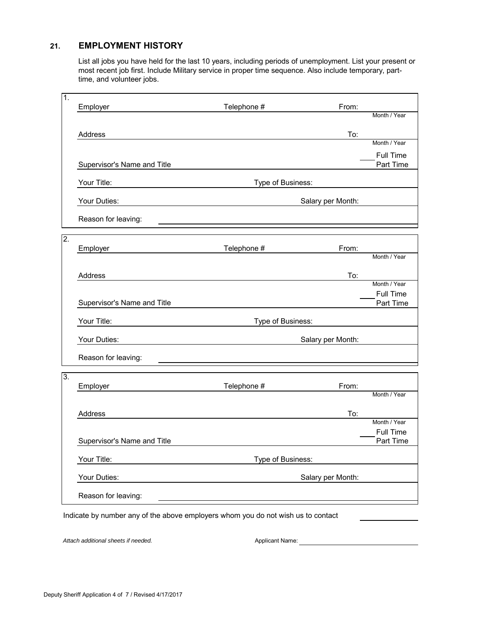### **21. EMPLOYMENT HISTORY**

 $\overline{1}$ 

List all jobs you have held for the last 10 years, including periods of unemployment. List your present or most recent job first. Include Military service in proper time sequence. Also include temporary, parttime, and volunteer jobs.

| Ί.               | Employer                    | Telephone #       | From:             |                        |
|------------------|-----------------------------|-------------------|-------------------|------------------------|
|                  |                             |                   |                   | Month / Year           |
|                  | Address                     |                   | To:               |                        |
|                  |                             |                   |                   | Month / Year           |
|                  | Supervisor's Name and Title |                   |                   | Full Time<br>Part Time |
|                  | Your Title:                 | Type of Business: |                   |                        |
|                  | Your Duties:                |                   | Salary per Month: |                        |
|                  | Reason for leaving:         |                   |                   |                        |
| $\overline{2}$ . |                             |                   |                   |                        |
|                  | Employer                    | Telephone #       | From:             |                        |
|                  |                             |                   |                   | Month / Year           |
|                  | Address                     |                   | To:               |                        |
|                  |                             |                   |                   | Month / Year           |
|                  | Supervisor's Name and Title |                   |                   | Full Time<br>Part Time |
|                  |                             |                   |                   |                        |
|                  | Your Title:                 | Type of Business: |                   |                        |
|                  | Your Duties:                |                   | Salary per Month: |                        |
|                  | Reason for leaving:         |                   |                   |                        |
| $\overline{3}$ . |                             |                   |                   |                        |
|                  | Employer                    | Telephone #       | From:             |                        |
|                  |                             |                   |                   | Month / Year           |
|                  | Address                     |                   | To:               |                        |
|                  |                             |                   |                   | Month / Year           |
|                  | Supervisor's Name and Title |                   |                   | Full Time<br>Part Time |
|                  | Your Title:                 | Type of Business: |                   |                        |
|                  |                             |                   |                   |                        |
|                  | Your Duties:                |                   | Salary per Month: |                        |
|                  | Reason for leaving:         |                   |                   |                        |
|                  |                             |                   |                   |                        |

Indicate by number any of the above employers whom you do not wish us to contact

*Attach additional sheets if needed.*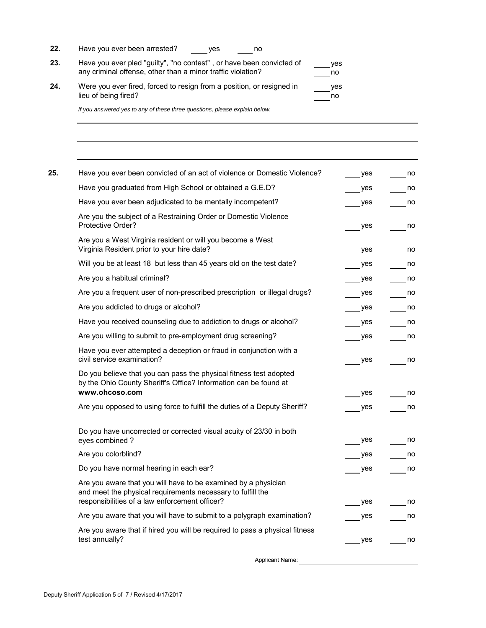| 22. | Have you ever been arrested?<br>ves<br>no                                                                                           |           |
|-----|-------------------------------------------------------------------------------------------------------------------------------------|-----------|
| 23. | Have you ever pled "guilty", "no contest", or have been convicted of<br>any criminal offense, other than a minor traffic violation? | ves<br>no |
| 24. | Were you ever fired, forced to resign from a position, or resigned in<br>lieu of being fired?                                       | ves<br>no |
|     | If you answered yes to any of these three questions, please explain below.                                                          |           |

| 25. | Have you ever been convicted of an act of violence or Domestic Violence?                                                                                                        | yes | no |
|-----|---------------------------------------------------------------------------------------------------------------------------------------------------------------------------------|-----|----|
|     | Have you graduated from High School or obtained a G.E.D?                                                                                                                        | yes | no |
|     | Have you ever been adjudicated to be mentally incompetent?                                                                                                                      | yes | no |
|     | Are you the subject of a Restraining Order or Domestic Violence<br>Protective Order?                                                                                            | yes | no |
|     | Are you a West Virginia resident or will you become a West<br>Virginia Resident prior to your hire date?                                                                        | yes | no |
|     | Will you be at least 18 but less than 45 years old on the test date?                                                                                                            | yes | no |
|     | Are you a habitual criminal?                                                                                                                                                    | yes | no |
|     | Are you a frequent user of non-prescribed prescription or illegal drugs?                                                                                                        | yes | no |
|     | Are you addicted to drugs or alcohol?                                                                                                                                           | yes | no |
|     | Have you received counseling due to addiction to drugs or alcohol?                                                                                                              | yes | no |
|     | Are you willing to submit to pre-employment drug screening?                                                                                                                     | yes | no |
|     | Have you ever attempted a deception or fraud in conjunction with a<br>civil service examination?                                                                                | yes | no |
|     | Do you believe that you can pass the physical fitness test adopted<br>by the Ohio County Sheriff's Office? Information can be found at<br>www.ohcoso.com                        | yes | no |
|     | Are you opposed to using force to fulfill the duties of a Deputy Sheriff?                                                                                                       | yes | no |
|     |                                                                                                                                                                                 |     |    |
|     | Do you have uncorrected or corrected visual acuity of 23/30 in both<br>eyes combined?                                                                                           | yes | no |
|     | Are you colorblind?                                                                                                                                                             | yes | no |
|     | Do you have normal hearing in each ear?                                                                                                                                         | yes | no |
|     | Are you aware that you will have to be examined by a physician<br>and meet the physical requirements necessary to fulfill the<br>responsibilities of a law enforcement officer? | yes | no |
|     | Are you aware that you will have to submit to a polygraph examination?                                                                                                          | yes | no |
|     | Are you aware that if hired you will be required to pass a physical fitness                                                                                                     |     |    |
|     | test annually?                                                                                                                                                                  | yes | no |
|     |                                                                                                                                                                                 |     |    |